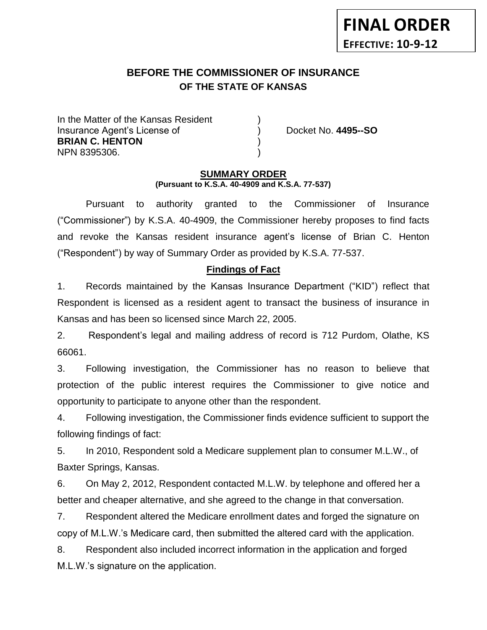# **BEFORE THE COMMISSIONER OF INSURANCE**

In the Matter of the Kansas Resident Insurance Agent's License of ) Docket No. **4495--SO BRIAN C. HENTON** ) NPN 8395306. )

**FINAL ORDER**

**EFFECTIVE: 10-9-12**

#### **SUMMARY ORDER (Pursuant to K.S.A. 40-4909 and K.S.A. 77-537)**

**OF THE STATE OF KANSAS**

Pursuant to authority granted to the Commissioner of Insurance ("Commissioner") by K.S.A. 40-4909, the Commissioner hereby proposes to find facts and revoke the Kansas resident insurance agent's license of Brian C. Henton ("Respondent") by way of Summary Order as provided by K.S.A. 77-537.

## **Findings of Fact**

1. Records maintained by the Kansas Insurance Department ("KID") reflect that Respondent is licensed as a resident agent to transact the business of insurance in Kansas and has been so licensed since March 22, 2005.

2. Respondent's legal and mailing address of record is 712 Purdom, Olathe, KS 66061.

3. Following investigation, the Commissioner has no reason to believe that protection of the public interest requires the Commissioner to give notice and opportunity to participate to anyone other than the respondent.

4. Following investigation, the Commissioner finds evidence sufficient to support the following findings of fact:

5. In 2010, Respondent sold a Medicare supplement plan to consumer M.L.W., of Baxter Springs, Kansas.

6. On May 2, 2012, Respondent contacted M.L.W. by telephone and offered her a better and cheaper alternative, and she agreed to the change in that conversation.

7. Respondent altered the Medicare enrollment dates and forged the signature on copy of M.L.W.'s Medicare card, then submitted the altered card with the application.

8. Respondent also included incorrect information in the application and forged M.L.W.'s signature on the application.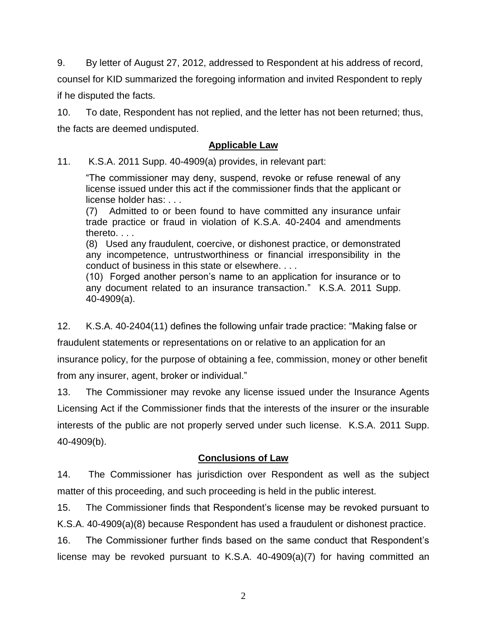9. By letter of August 27, 2012, addressed to Respondent at his address of record, counsel for KID summarized the foregoing information and invited Respondent to reply if he disputed the facts.

10. To date, Respondent has not replied, and the letter has not been returned; thus, the facts are deemed undisputed.

### **Applicable Law**

11. K.S.A. 2011 Supp. 40-4909(a) provides, in relevant part:

"The commissioner may deny, suspend, revoke or refuse renewal of any license issued under this act if the commissioner finds that the applicant or license holder has: . . .

(7) Admitted to or been found to have committed any insurance unfair trade practice or fraud in violation of K.S.A. 40-2404 and amendments thereto. . . .

(8) Used any fraudulent, coercive, or dishonest practice, or demonstrated any incompetence, untrustworthiness or financial irresponsibility in the conduct of business in this state or elsewhere. . . .

(10) Forged another person's name to an application for insurance or to any document related to an insurance transaction." K.S.A. 2011 Supp. 40-4909(a).

12. K.S.A. 40-2404(11) defines the following unfair trade practice: "Making false or

fraudulent statements or representations on or relative to an application for an

insurance policy, for the purpose of obtaining a fee, commission, money or other benefit from any insurer, agent, broker or individual."

13. The Commissioner may revoke any license issued under the Insurance Agents Licensing Act if the Commissioner finds that the interests of the insurer or the insurable interests of the public are not properly served under such license. K.S.A. 2011 Supp. 40-4909(b).

## **Conclusions of Law**

14. The Commissioner has jurisdiction over Respondent as well as the subject matter of this proceeding, and such proceeding is held in the public interest.

15. The Commissioner finds that Respondent's license may be revoked pursuant to K.S.A. 40-4909(a)(8) because Respondent has used a fraudulent or dishonest practice.

16. The Commissioner further finds based on the same conduct that Respondent's license may be revoked pursuant to K.S.A. 40-4909(a)(7) for having committed an

2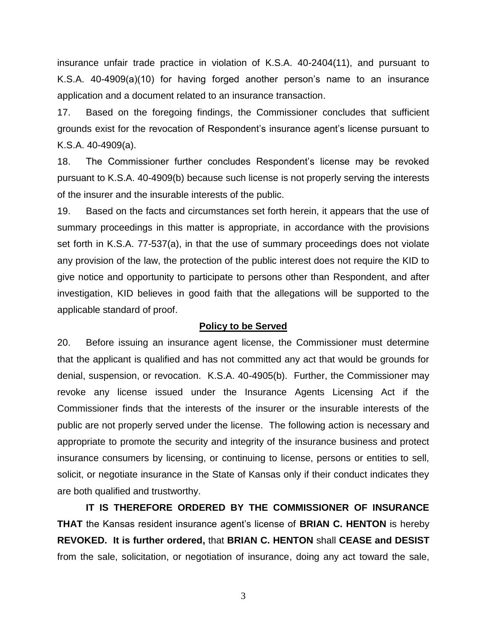insurance unfair trade practice in violation of K.S.A. 40-2404(11), and pursuant to K.S.A. 40-4909(a)(10) for having forged another person's name to an insurance application and a document related to an insurance transaction.

17. Based on the foregoing findings, the Commissioner concludes that sufficient grounds exist for the revocation of Respondent's insurance agent's license pursuant to K.S.A. 40-4909(a).

18. The Commissioner further concludes Respondent's license may be revoked pursuant to K.S.A. 40-4909(b) because such license is not properly serving the interests of the insurer and the insurable interests of the public.

19. Based on the facts and circumstances set forth herein, it appears that the use of summary proceedings in this matter is appropriate, in accordance with the provisions set forth in K.S.A. 77-537(a), in that the use of summary proceedings does not violate any provision of the law, the protection of the public interest does not require the KID to give notice and opportunity to participate to persons other than Respondent, and after investigation, KID believes in good faith that the allegations will be supported to the applicable standard of proof.

#### **Policy to be Served**

20. Before issuing an insurance agent license, the Commissioner must determine that the applicant is qualified and has not committed any act that would be grounds for denial, suspension, or revocation. K.S.A. 40-4905(b). Further, the Commissioner may revoke any license issued under the Insurance Agents Licensing Act if the Commissioner finds that the interests of the insurer or the insurable interests of the public are not properly served under the license. The following action is necessary and appropriate to promote the security and integrity of the insurance business and protect insurance consumers by licensing, or continuing to license, persons or entities to sell, solicit, or negotiate insurance in the State of Kansas only if their conduct indicates they are both qualified and trustworthy.

**IT IS THEREFORE ORDERED BY THE COMMISSIONER OF INSURANCE THAT** the Kansas resident insurance agent's license of **BRIAN C. HENTON** is hereby **REVOKED. It is further ordered,** that **BRIAN C. HENTON** shall **CEASE and DESIST** from the sale, solicitation, or negotiation of insurance, doing any act toward the sale,

3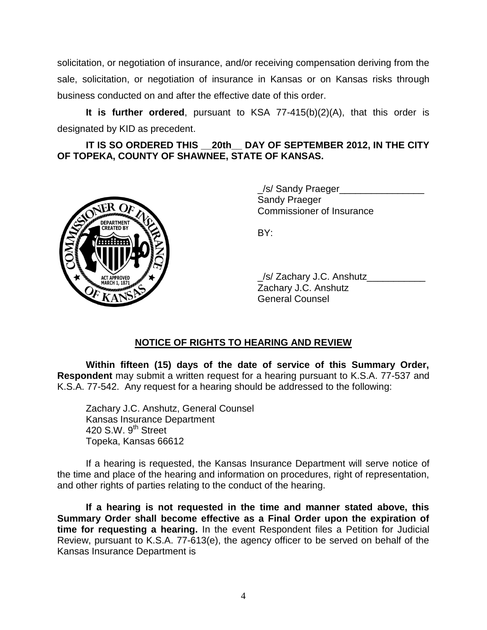solicitation, or negotiation of insurance, and/or receiving compensation deriving from the sale, solicitation, or negotiation of insurance in Kansas or on Kansas risks through business conducted on and after the effective date of this order.

**It is further ordered**, pursuant to KSA 77-415(b)(2)(A), that this order is designated by KID as precedent.

**IT IS SO ORDERED THIS \_\_20th\_\_ DAY OF SEPTEMBER 2012, IN THE CITY OF TOPEKA, COUNTY OF SHAWNEE, STATE OF KANSAS.**



\_/s/ Sandy Praeger\_\_\_\_\_\_\_\_\_\_\_\_\_\_\_\_ Sandy Praeger Commissioner of Insurance

BY:

\_/s/ Zachary J.C. Anshutz\_\_\_\_\_\_\_\_\_\_\_ Zachary J.C. Anshutz General Counsel

## **NOTICE OF RIGHTS TO HEARING AND REVIEW**

**Within fifteen (15) days of the date of service of this Summary Order, Respondent** may submit a written request for a hearing pursuant to K.S.A. 77-537 and K.S.A. 77-542. Any request for a hearing should be addressed to the following:

Zachary J.C. Anshutz, General Counsel Kansas Insurance Department 420 S.W.  $9<sup>th</sup>$  Street Topeka, Kansas 66612

If a hearing is requested, the Kansas Insurance Department will serve notice of the time and place of the hearing and information on procedures, right of representation, and other rights of parties relating to the conduct of the hearing.

**If a hearing is not requested in the time and manner stated above, this Summary Order shall become effective as a Final Order upon the expiration of time for requesting a hearing.** In the event Respondent files a Petition for Judicial Review, pursuant to K.S.A. 77-613(e), the agency officer to be served on behalf of the Kansas Insurance Department is